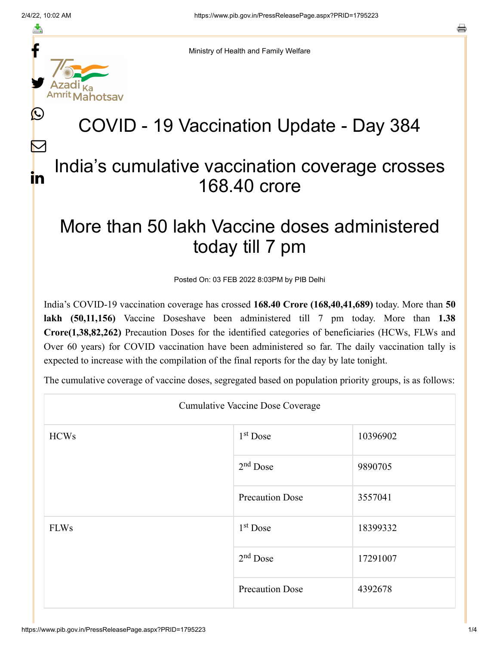f

≛

y.

 $\mathbf{\Omega}$ 

 $\bm{\nabla}$ 

in

a

Ministry of Health and Family Welfare

## COVID - 19 Vaccination Update - Day 384

## India's cumulative vaccination coverage crosses 168.40 crore

## More than 50 lakh Vaccine doses administered today till 7 pm

Posted On: 03 FEB 2022 8:03PM by PIB Delhi

India's COVID-19 vaccination coverage has crossed **168.40 Crore (168,40,41,689)** today. More than **50 lakh (50,11,156)** Vaccine Doseshave been administered till 7 pm today. More than **1.38 Crore(1,38,82,262)** Precaution Doses for the identified categories of beneficiaries (HCWs, FLWs and Over 60 years) for COVID vaccination have been administered so far. The daily vaccination tally is expected to increase with the compilation of the final reports for the day by late tonight.

The cumulative coverage of vaccine doses, segregated based on population priority groups, is as follows:

| <b>Cumulative Vaccine Dose Coverage</b> |                        |          |  |  |
|-----------------------------------------|------------------------|----------|--|--|
| <b>HCWs</b>                             | 1 <sup>st</sup> Dose   | 10396902 |  |  |
|                                         | $2nd$ Dose             | 9890705  |  |  |
|                                         | <b>Precaution Dose</b> | 3557041  |  |  |
| <b>FLWs</b>                             | $1st$ Dose             | 18399332 |  |  |
|                                         | $2nd$ Dose             | 17291007 |  |  |
|                                         | <b>Precaution Dose</b> | 4392678  |  |  |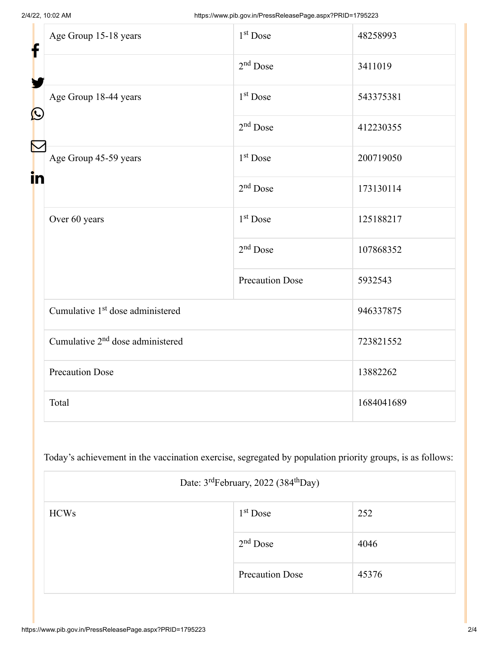| f<br>$\bf \Omega$ | Age Group 15-18 years                        | $1st$ Dose             | 48258993   |
|-------------------|----------------------------------------------|------------------------|------------|
|                   |                                              | $2nd$ Dose             | 3411019    |
|                   | Age Group 18-44 years                        | 1 <sup>st</sup> Dose   | 543375381  |
|                   |                                              | $2nd$ Dose             | 412230355  |
| in                | Age Group 45-59 years                        | $1st$ Dose             | 200719050  |
|                   |                                              | $2nd$ Dose             | 173130114  |
|                   | Over 60 years                                | 1 <sup>st</sup> Dose   | 125188217  |
|                   |                                              | $2nd$ Dose             | 107868352  |
|                   |                                              | <b>Precaution Dose</b> | 5932543    |
|                   | Cumulative 1 <sup>st</sup> dose administered |                        | 946337875  |
|                   | Cumulative 2 <sup>nd</sup> dose administered |                        | 723821552  |
|                   | <b>Precaution Dose</b>                       |                        | 13882262   |
|                   | Total                                        |                        | 1684041689 |

Today's achievement in the vaccination exercise, segregated by population priority groups, is as follows:

| Date: 3 <sup>rd</sup> February, 2022 (384 <sup>th</sup> Day) |                        |       |  |
|--------------------------------------------------------------|------------------------|-------|--|
| <b>HCWs</b>                                                  | $1st$ Dose             | 252   |  |
|                                                              | $2nd$ Dose             | 4046  |  |
|                                                              | <b>Precaution Dose</b> | 45376 |  |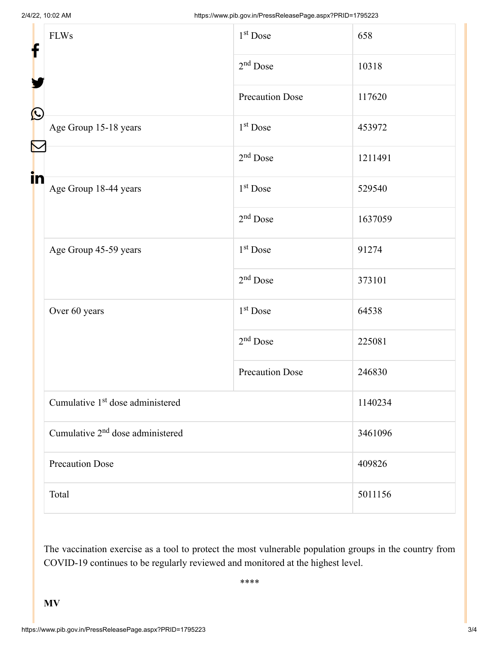| f<br>$\bf \Omega$ | <b>FLWs</b>                                  | 1 <sup>st</sup> Dose   | 658     |  |
|-------------------|----------------------------------------------|------------------------|---------|--|
|                   |                                              | $2nd$ Dose             | 10318   |  |
|                   |                                              | <b>Precaution Dose</b> | 117620  |  |
|                   | Age Group 15-18 years                        | 1 <sup>st</sup> Dose   | 453972  |  |
|                   |                                              | $2nd$ Dose             | 1211491 |  |
| in                | Age Group 18-44 years                        | 1 <sup>st</sup> Dose   | 529540  |  |
|                   |                                              | $2nd$ Dose             | 1637059 |  |
|                   | Age Group 45-59 years                        | 1 <sup>st</sup> Dose   | 91274   |  |
|                   |                                              | $2nd$ Dose             | 373101  |  |
|                   | Over 60 years                                | 1 <sup>st</sup> Dose   | 64538   |  |
|                   |                                              | $2nd$ Dose             | 225081  |  |
|                   |                                              | <b>Precaution Dose</b> | 246830  |  |
|                   | Cumulative 1 <sup>st</sup> dose administered |                        | 1140234 |  |
|                   | Cumulative 2 <sup>nd</sup> dose administered |                        | 3461096 |  |
|                   | <b>Precaution Dose</b>                       |                        | 409826  |  |
|                   | Total                                        |                        | 5011156 |  |

The vaccination exercise as a tool to protect the most vulnerable population groups in the country from COVID-19 continues to be regularly reviewed and monitored at the highest level.

\*\*\*\*